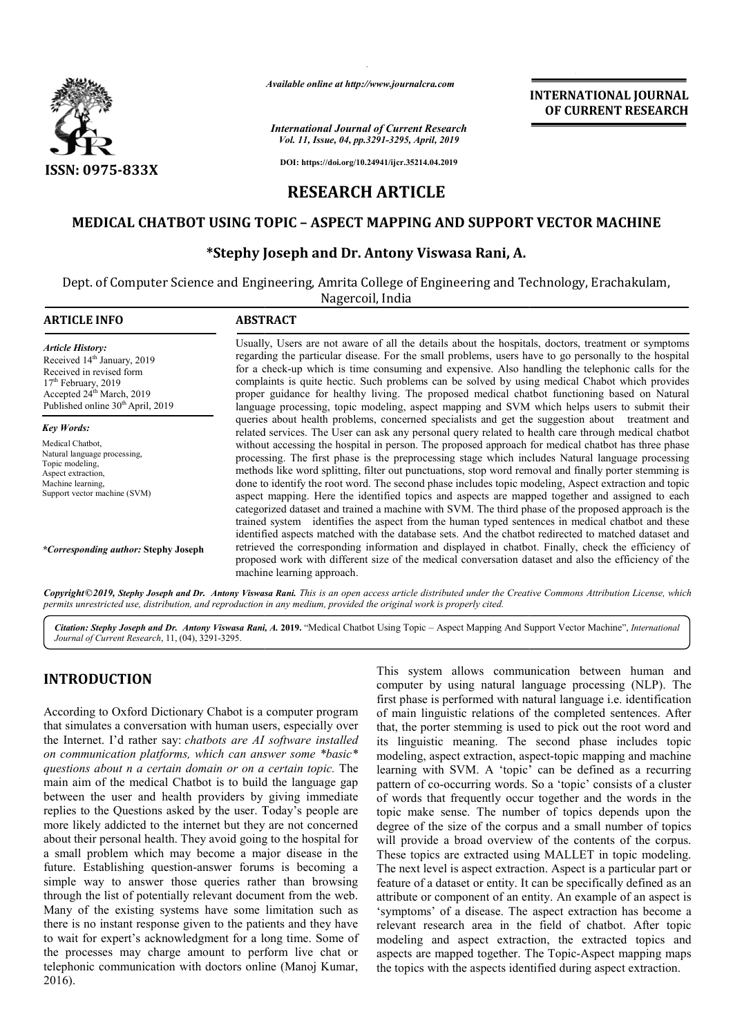

*Available online at http://www.journalcra.com*

*International Journal of Current Research Vol. 11, Issue, 04, pp.3291-3295, April, 2019*

**INTERNATIONAL JOURNAL OF CURRENT RESEARCH**

**DOI: https://doi.org/10.24941/ijcr.35214.04.2019**

# **RESEARCH ARTICLE**

### **MEDICAL CHATBOT USING TOPIC – ASPECT MAPPING AND SUPPORT VECTOR MACHINE**

## **\*Stephy Joseph and Dr. Stephy Antony Viswasa Rani, A.**

Dept. of Computer Science and Engineering, Amrita College of Engineering and Technology, Erachakulam, Nagercoil, India

| <b>ARTICLE INFO</b>                                                                                                                                                                                                         | <b>ABSTRACT</b>                                                                                                                                                                                                                                                                                                                                                                                                                                                                                                                                                                                                                                                                                                                                                                                                                                   |
|-----------------------------------------------------------------------------------------------------------------------------------------------------------------------------------------------------------------------------|---------------------------------------------------------------------------------------------------------------------------------------------------------------------------------------------------------------------------------------------------------------------------------------------------------------------------------------------------------------------------------------------------------------------------------------------------------------------------------------------------------------------------------------------------------------------------------------------------------------------------------------------------------------------------------------------------------------------------------------------------------------------------------------------------------------------------------------------------|
| <b>Article History:</b><br>Received 14 <sup>th</sup> January, 2019<br>Received in revised form<br>17 <sup>th</sup> February, 2019<br>Accepted 24 <sup>th</sup> March, 2019<br>Published online 30 <sup>th</sup> April, 2019 | Usually, Users are not aware of all the details about the hospitals, doctors, treatment or symptoms<br>regarding the particular disease. For the small problems, users have to go personally to the hospital<br>for a check-up which is time consuming and expensive. Also handling the telephonic calls for the<br>complaints is quite hectic. Such problems can be solved by using medical Chabot which provides<br>proper guidance for healthy living. The proposed medical chatbot functioning based on Natural<br>language processing, topic modeling, aspect mapping and SVM which helps users to submit their                                                                                                                                                                                                                              |
| <b>Key Words:</b>                                                                                                                                                                                                           | queries about health problems, concerned specialists and get the suggestion about treatment and<br>related services. The User can ask any personal query related to health care through medical chatbot                                                                                                                                                                                                                                                                                                                                                                                                                                                                                                                                                                                                                                           |
| Medical Chatbot,<br>Natural language processing,<br>Topic modeling,<br>Aspect extraction,<br>Machine learning,<br>Support vector machine (SVM)                                                                              | without accessing the hospital in person. The proposed approach for medical chatbot has three phase<br>processing. The first phase is the preprocessing stage which includes Natural language processing<br>methods like word splitting, filter out punctuations, stop word removal and finally porter stemming is<br>done to identify the root word. The second phase includes topic modeling, Aspect extraction and topic<br>aspect mapping. Here the identified topics and aspects are mapped together and assigned to each<br>categorized dataset and trained a machine with SVM. The third phase of the proposed approach is the<br>trained system identifies the aspect from the human typed sentences in medical chatbot and these<br>identified aspects matched with the database sets. And the chatbot redirected to matched dataset and |
| *Corresponding author: Stephy Joseph                                                                                                                                                                                        | retrieved the corresponding information and displayed in chatbot. Finally, check the efficiency of<br>proposed work with different size of the medical conversation dataset and also the efficiency of the<br>machine learning approach.                                                                                                                                                                                                                                                                                                                                                                                                                                                                                                                                                                                                          |
|                                                                                                                                                                                                                             | Compute 400000 Charles League and Dr. Antony Equator Day: This is an anony access quick distributed under the Cuestine Commons Attribution License which                                                                                                                                                                                                                                                                                                                                                                                                                                                                                                                                                                                                                                                                                          |

Copyright©2019, Stephy Joseph and Dr. Antony Viswasa Rani. This is an open access article distributed under the Creative Commons Attribution License, which permits unrestricted use, distribution, and reproduction in any medium, provided the original work is properly cited.

Citation: Stephy Joseph and Dr. Antony Viswasa Rani, A. 2019. "Medical Chatbot Using Topic – Aspect Mapping And Support Vector Machine", *International Journal of Current Research*, 11, (04), 3291-3295.

# **INTRODUCTION**

According to Oxford Dictionary Chabot is a computer program that simulates a conversation with human users, especially over the Internet. I'd rather say: *chatbots are AI software installed on communication platforms, which can answer some \*basic\* questions about n a certain domain or on a certain topic.* The main aim of the medical Chatbot is to build the language gap between the user and health providers by giving immediate replies to the Questions asked by the user. Today's people are more likely addicted to the internet but they are not concerned about their personal health. They avoid going to the hospital for a small problem which may become a major disease in the future. Establishing question-answer forums is becoming a simple way to answer those queries rather than browsing through the list of potentially relevant document from the web. Many of the existing systems have some limitation such as there is no instant response given to the patients and they have to wait for expert's acknowledgment for a long time. Some of the processes may charge amount to perform live chat or telephonic communication with doctors online (Manoj Kumar, 2016). e. Establishing question-answer forums is becoming a le way to answer those queries rather than browsing ugh the list of potentially relevant document from the web. y of the existing systems have some limitation such as is This system allows communication between human and computer by using natural language processing (NLP). The first phase is performed with natural language *i.e.* identification of main linguistic relations of the completed sentences. After that, the porter stemming is used to pick out the root word and its linguistic meaning. The second phase includes topic modeling, aspect extraction, aspect-topic mapping and machine learning with SVM. A 'topic' can be defined as a recurring pattern of co-occurring words. So a 'topic' consists of a cluster of words that frequently occur together and the words in the topic make sense. The number of topics depends upon the pattern of co-occurring words. So a 'topic' consists of a cluster<br>of words that frequently occur together and the words in the<br>topic make sense. The number of topics depends upon the<br>degree of the size of the corpus and a will provide a broad overview of the contents of the corpus. These topics are extracted using MALLET in topic modeling. The next level is aspect extraction. Aspect is a particular part or feature of a dataset or entity. It can be specifically defined as an attribute or component of an entity. An example of an aspect is 'symptoms' of a disease. The aspect extraction has become a 'symptoms' of a disease. The aspect extraction has become a relevant research area in the field of chatbot. After topic modeling and aspect extraction, the extracted topics and modeling and aspect extraction, the extracted topics and aspects are mapped together. The Topic-Aspect mapping maps the topics with the aspects identified during aspect extraction. the porter stemming is used to pick out the root word and<br>inguistic meaning. The second phase includes topic<br>eling, aspect extraction, aspect-topic mapping and machine ovide a broad overview of the contents of the corpus.<br>topics are extracted using MALLET in topic modeling.<br>xt level is aspect extraction. Aspect is a particular part or INTERNATIONAL JOURNAL<br>
OF CURRENT RESEARCH<br>
OF CURRENT RESEARCH<br>
OF CURRENT RESEARCH<br>
NOTE CONSERVED TRESEARCH<br>
IN and Technology, Erachakulam,<br>
time and Technology, Erachakulam,<br>
time and Technology, Erachakulam,<br>
six we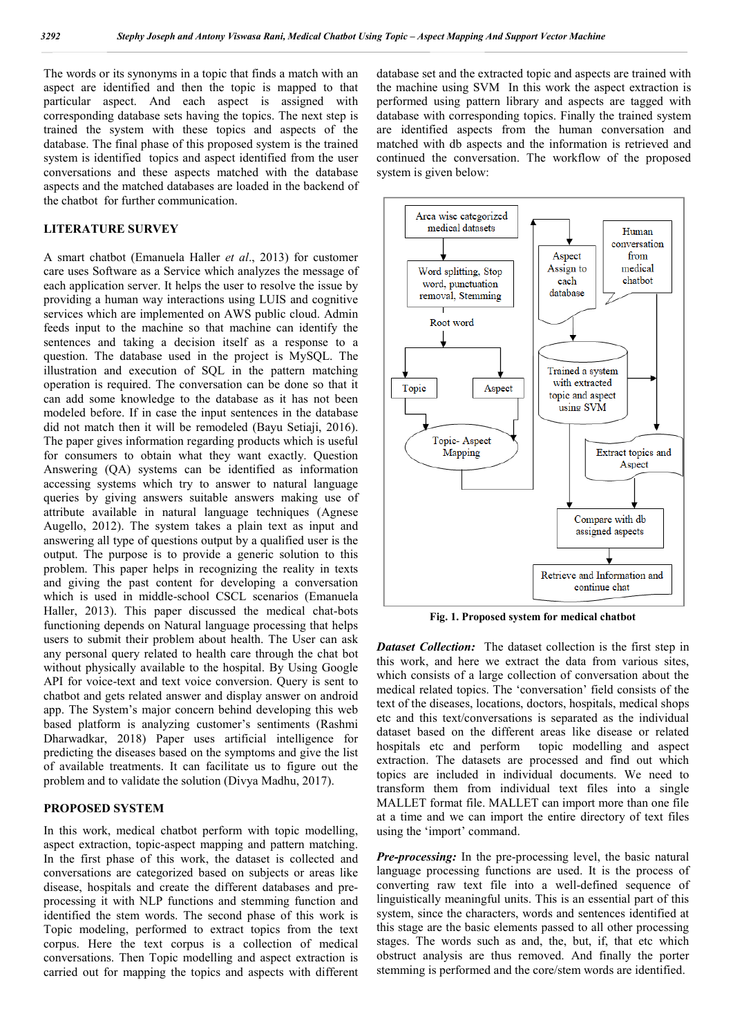The words or its synonyms in a topic that finds a match with an aspect are identified and then the topic is mapped to that particular aspect. And each aspect is assigned with corresponding database sets having the topics. The next step is trained the system with these topics and aspects of the database. The final phase of this proposed system is the trained system is identified topics and aspect identified from the user conversations and these aspects matched with the database aspects and the matched databases are loaded in the backend of the chatbot for further communication.

#### **LITERATURE SURVEY**

A smart chatbot (Emanuela Haller *et al*., 2013) for customer care uses Software as a Service which analyzes the message of each application server. It helps the user to resolve the issue by providing a human way interactions using LUIS and cognitive services which are implemented on AWS public cloud. Admin feeds input to the machine so that machine can identify the sentences and taking a decision itself as a response to a question. The database used in the project is MySQL. The illustration and execution of SQL in the pattern matching operation is required. The conversation can be done so that it can add some knowledge to the database as it has not been modeled before. If in case the input sentences in the database did not match then it will be remodeled (Bayu Setiaji, 2016). The paper gives information regarding products which is useful for consumers to obtain what they want exactly. Question Answering (QA) systems can be identified as information accessing systems which try to answer to natural language queries by giving answers suitable answers making use of attribute available in natural language techniques (Agnese Augello, 2012). The system takes a plain text as input and answering all type of questions output by a qualified user is the output. The purpose is to provide a generic solution to this problem. This paper helps in recognizing the reality in texts and giving the past content for developing a conversation which is used in middle-school CSCL scenarios (Emanuela Haller, 2013). This paper discussed the medical chat-bots functioning depends on Natural language processing that helps users to submit their problem about health. The User can ask any personal query related to health care through the chat bot without physically available to the hospital. By Using Google API for voice-text and text voice conversion. Query is sent to chatbot and gets related answer and display answer on android app. The System's major concern behind developing this web based platform is analyzing customer's sentiments (Rashmi Dharwadkar, 2018) Paper uses artificial intelligence for predicting the diseases based on the symptoms and give the list of available treatments. It can facilitate us to figure out the problem and to validate the solution (Divya Madhu, 2017).

#### **PROPOSED SYSTEM**

In this work, medical chatbot perform with topic modelling, aspect extraction, topic-aspect mapping and pattern matching. In the first phase of this work, the dataset is collected and conversations are categorized based on subjects or areas like disease, hospitals and create the different databases and preprocessing it with NLP functions and stemming function and identified the stem words. The second phase of this work is Topic modeling, performed to extract topics from the text corpus. Here the text corpus is a collection of medical conversations. Then Topic modelling and aspect extraction is carried out for mapping the topics and aspects with different

database set and the extracted topic and aspects are trained with the machine using SVM In this work the aspect extraction is performed using pattern library and aspects are tagged with database with corresponding topics. Finally the trained system are identified aspects from the human conversation and matched with db aspects and the information is retrieved and continued the conversation. The workflow of the proposed system is given below:



**Fig. 1. Proposed system for medical chatbot**

*Dataset Collection:* The dataset collection is the first step in this work, and here we extract the data from various sites, which consists of a large collection of conversation about the medical related topics. The 'conversation' field consists of the text of the diseases, locations, doctors, hospitals, medical shops etc and this text/conversations is separated as the individual dataset based on the different areas like disease or related hospitals etc and perform topic modelling and aspect extraction. The datasets are processed and find out which topics are included in individual documents. We need to transform them from individual text files into a single MALLET format file. MALLET can import more than one file at a time and we can import the entire directory of text files using the 'import' command.

*Pre-processing:* In the pre-processing level, the basic natural language processing functions are used. It is the process of converting raw text file into a well-defined sequence of linguistically meaningful units. This is an essential part of this system, since the characters, words and sentences identified at this stage are the basic elements passed to all other processing stages. The words such as and, the, but, if, that etc which obstruct analysis are thus removed. And finally the porter stemming is performed and the core/stem words are identified.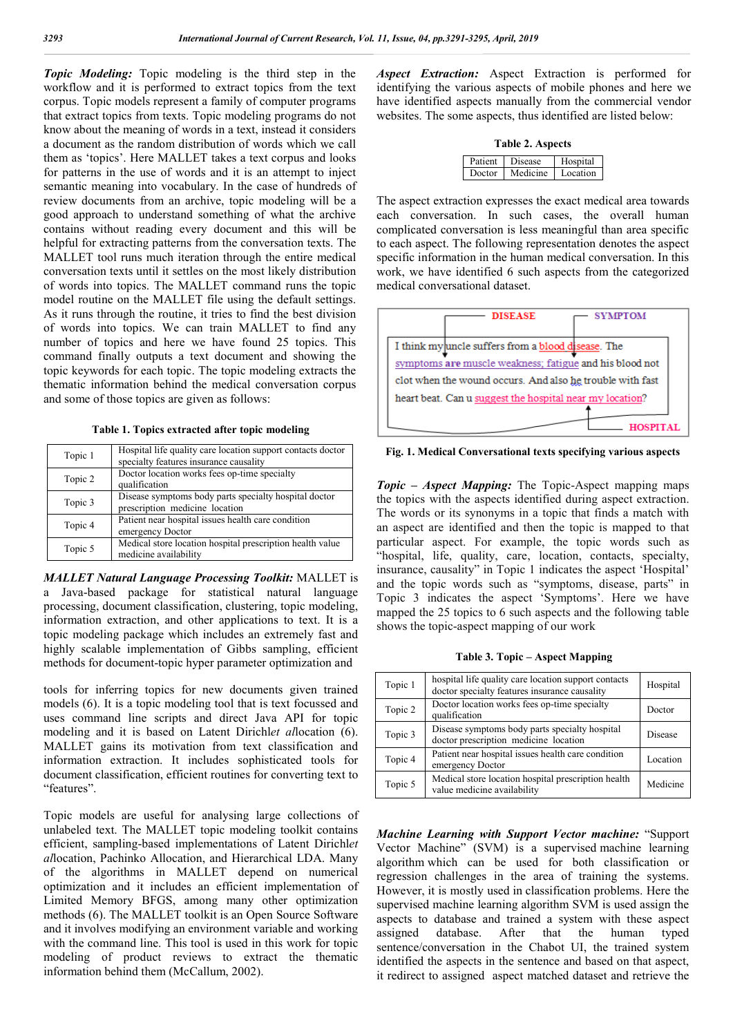*Topic Modeling:* Topic modeling is the third step in the workflow and it is performed to extract topics from the text corpus. Topic models represent a family of computer programs that extract topics from texts. Topic modeling programs do not know about the meaning of words in a text, instead it considers a document as the random distribution of words which we call them as 'topics'. Here MALLET takes a text corpus and looks for patterns in the use of words and it is an attempt to inject semantic meaning into vocabulary. In the case of hundreds of review documents from an archive, topic modeling will be a good approach to understand something of what the archive contains without reading every document and this will be helpful for extracting patterns from the conversation texts. The MALLET tool runs much iteration through the entire medical conversation texts until it settles on the most likely distribution of words into topics. The MALLET command runs the topic model routine on the MALLET file using the default settings. As it runs through the routine, it tries to find the best division of words into topics. We can train MALLET to find any number of topics and here we have found 25 topics. This command finally outputs a text document and showing the topic keywords for each topic. The topic modeling extracts the thematic information behind the medical conversation corpus and some of those topics are given as follows:

**Table 1. Topics extracted after topic modeling**

| Topic 1 | Hospital life quality care location support contacts doctor<br>specialty features insurance causality |  |
|---------|-------------------------------------------------------------------------------------------------------|--|
| Topic 2 | Doctor location works fees op-time specialty<br>qualification                                         |  |
| Topic 3 | Disease symptoms body parts specialty hospital doctor<br>prescription medicine location               |  |
| Topic 4 | Patient near hospital issues health care condition<br>emergency Doctor                                |  |
| Topic 5 | Medical store location hospital prescription health value<br>medicine availability                    |  |

*MALLET Natural Language Processing Toolkit:* MALLET is a Java-based package for statistical natural language processing, document classification, clustering, topic modeling, information extraction, and other applications to text. It is a topic modeling package which includes an extremely fast and highly scalable implementation of Gibbs sampling, efficient methods for document-topic hyper parameter optimization and

tools for inferring topics for new documents given trained models (6). It is a topic modeling tool that is text focussed and uses command line scripts and direct Java API for topic modeling and it is based on Latent Dirichl*et al*location (6). MALLET gains its motivation from text classification and information extraction. It includes sophisticated tools for document classification, efficient routines for converting text to "features".

Topic models are useful for analysing large collections of unlabeled text. The MALLET topic modeling toolkit contains efficient, sampling-based implementations of Latent Dirichl*et al*location, Pachinko Allocation, and Hierarchical LDA. Many of the algorithms in MALLET depend on numerical optimization and it includes an efficient implementation of Limited Memory BFGS, among many other optimization methods (6). The MALLET toolkit is an Open Source Software and it involves modifying an environment variable and working with the command line. This tool is used in this work for topic modeling of product reviews to extract the thematic information behind them (McCallum, 2002).

*Aspect Extraction:* Aspect Extraction is performed for identifying the various aspects of mobile phones and here we have identified aspects manually from the commercial vendor websites. The some aspects, thus identified are listed below:

| <b>Table 2. Aspects</b> |                 |          |  |  |
|-------------------------|-----------------|----------|--|--|
|                         | Patient Disease | Hospital |  |  |
| Doctor                  | Medicine        | Location |  |  |

The aspect extraction expresses the exact medical area towards each conversation. In such cases, the overall human complicated conversation is less meaningful than area specific to each aspect. The following representation denotes the aspect specific information in the human medical conversation. In this work, we have identified 6 such aspects from the categorized medical conversational dataset.



**Fig. 1. Medical Conversational texts specifying various aspects**

*Topic – Aspect Mapping:* The Topic-Aspect mapping maps the topics with the aspects identified during aspect extraction. The words or its synonyms in a topic that finds a match with an aspect are identified and then the topic is mapped to that particular aspect. For example, the topic words such as "hospital, life, quality, care, location, contacts, specialty, insurance, causality" in Topic 1 indicates the aspect 'Hospital' and the topic words such as "symptoms, disease, parts" in Topic 3 indicates the aspect 'Symptoms'. Here we have mapped the 25 topics to 6 such aspects and the following table shows the topic-aspect mapping of our work

**Table 3. Topic – Aspect Mapping**

| Topic 1 | hospital life quality care location support contacts<br>doctor specialty features insurance causality | Hospital |
|---------|-------------------------------------------------------------------------------------------------------|----------|
| Topic 2 | Doctor location works fees op-time specialty<br>qualification                                         | Doctor   |
| Topic 3 | Disease symptoms body parts specialty hospital<br>doctor prescription medicine location               | Disease  |
| Topic 4 | Patient near hospital issues health care condition<br>emergency Doctor                                | Location |
| Topic 5 | Medical store location hospital prescription health<br>value medicine availability                    | Medicine |

*Machine Learning with Support Vector machine:* "Support Vector Machine" (SVM) is a supervised machine learning algorithm which can be used for both classification or regression challenges in the area of training the systems. However, it is mostly used in classification problems. Here the supervised machine learning algorithm SVM is used assign the aspects to database and trained a system with these aspect assigned database. After that the human typed sentence/conversation in the Chabot UI, the trained system identified the aspects in the sentence and based on that aspect, it redirect to assigned aspect matched dataset and retrieve the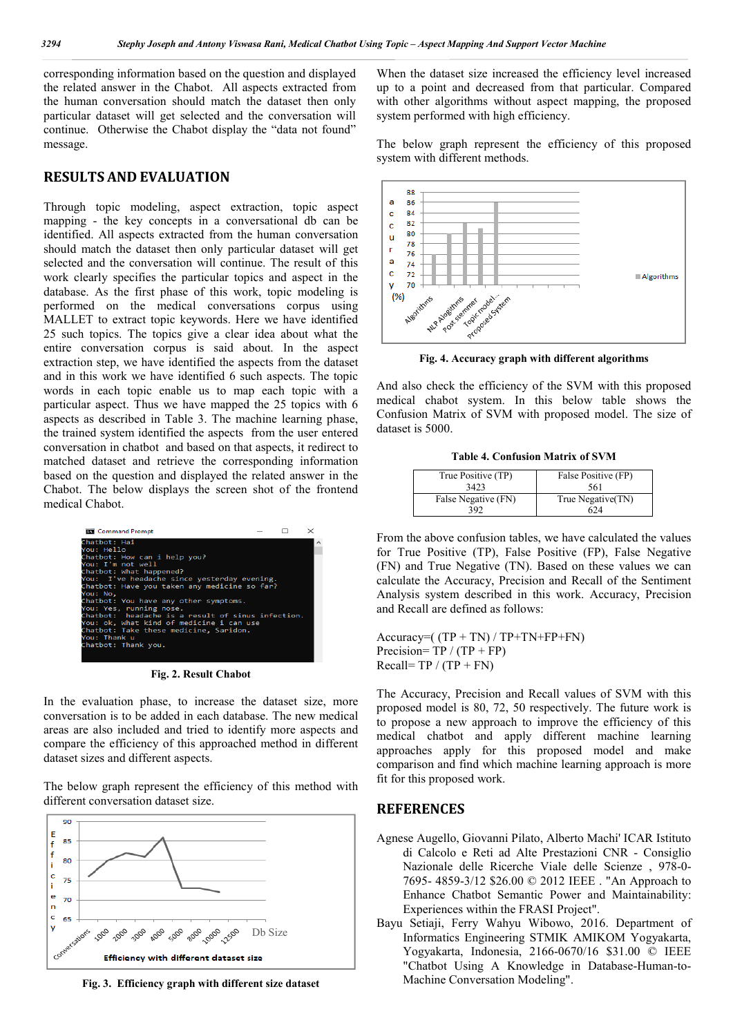corresponding information based on the question and displayed the related answer in the Chabot. All aspects extracted from the human conversation should match the dataset then only particular dataset will get selected and the conversation will continue. Otherwise the Chabot display the "data not found" message.

### **RESULTS AND EVALUATION**

Through topic modeling, aspect extraction, topic aspect mapping - the key concepts in a conversational db can be identified. All aspects extracted from the human conversation should match the dataset then only particular dataset will get selected and the conversation will continue. The result of this work clearly specifies the particular topics and aspect in the database. As the first phase of this work, topic modeling is performed on the medical conversations corpus using MALLET to extract topic keywords. Here we have identified 25 such topics. The topics give a clear idea about what the entire conversation corpus is said about. In the aspect extraction step, we have identified the aspects from the dataset and in this work we have identified 6 such aspects. The topic words in each topic enable us to map each topic with a particular aspect. Thus we have mapped the 25 topics with 6 aspects as described in Table 3. The machine learning phase, the trained system identified the aspects from the user entered conversation in chatbot and based on that aspects, it redirect to matched dataset and retrieve the corresponding information based on the question and displayed the related answer in the Chabot. The below displays the screen shot of the frontend medical Chabot.



**Fig. 2. Result Chabot**

In the evaluation phase, to increase the dataset size, more conversation is to be added in each database. The new medical areas are also included and tried to identify more aspects and compare the efficiency of this approached method in different dataset sizes and different aspects.

The below graph represent the efficiency of this method with different conversation dataset size.



**Fig. 3. Efficiency graph with different size dataset**

When the dataset size increased the efficiency level increased up to a point and decreased from that particular. Compared with other algorithms without aspect mapping, the proposed system performed with high efficiency.

The below graph represent the efficiency of this proposed system with different methods.



**Fig. 4. Accuracy graph with different algorithms**

And also check the efficiency of the SVM with this proposed medical chabot system. In this below table shows the Confusion Matrix of SVM with proposed model. The size of dataset is 5000.

**Table 4. Confusion Matrix of SVM**

| True Positive (TP)  | False Positive (FP) |
|---------------------|---------------------|
| 3423                | 561                 |
| False Negative (FN) | True Negative(TN)   |
| 392                 | 624                 |

From the above confusion tables, we have calculated the values for True Positive (TP), False Positive (FP), False Negative (FN) and True Negative (TN). Based on these values we can calculate the Accuracy, Precision and Recall of the Sentiment Analysis system described in this work. Accuracy, Precision and Recall are defined as follows:

Accuracy=( (TP + TN) / TP+TN+FP+FN) Precision=  $TP / (TP + FP)$ Recall= TP /  $(TP + FN)$ 

The Accuracy, Precision and Recall values of SVM with this proposed model is 80, 72, 50 respectively. The future work is to propose a new approach to improve the efficiency of this medical chatbot and apply different machine learning approaches apply for this proposed model and make comparison and find which machine learning approach is more fit for this proposed work.

#### **REFERENCES**

- Agnese Augello, Giovanni Pilato, Alberto Machi' ICAR Istituto di Calcolo e Reti ad Alte Prestazioni CNR - Consiglio Nazionale delle Ricerche Viale delle Scienze , 978-0- 7695- 4859-3/12 \$26.00 © 2012 IEEE . "An Approach to Enhance Chatbot Semantic Power and Maintainability: Experiences within the FRASI Project".
- Bayu Setiaji, Ferry Wahyu Wibowo, 2016. Department of Informatics Engineering STMIK AMIKOM Yogyakarta, Yogyakarta, Indonesia, 2166-0670/16 \$31.00 © IEEE "Chatbot Using A Knowledge in Database-Human-to-Machine Conversation Modeling".